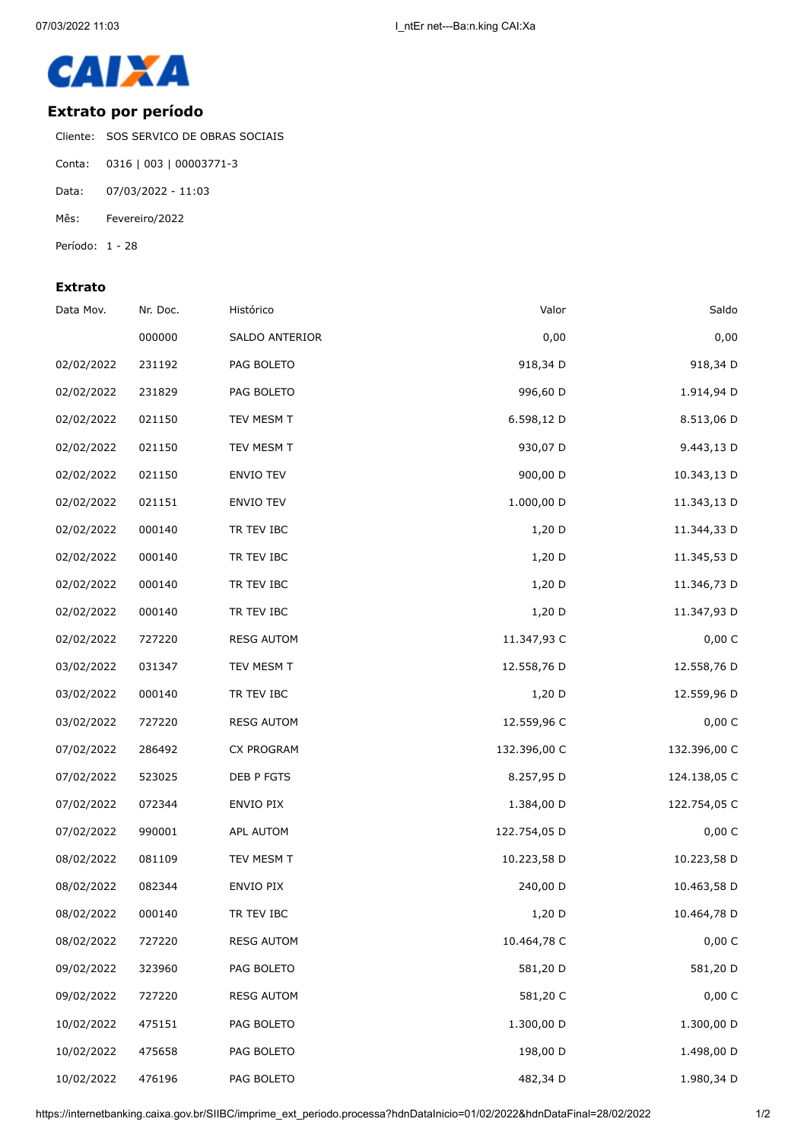

## **Extrato por período**

Cliente: SOS SERVICO DE OBRAS SOCIAIS

- Conta: 0316 | 003 | 00003771-3
- Data: 07/03/2022 11:03
- Mês: Fevereiro/2022
- Período: 1 28

## **Extrato**

| Saldo        | Valor        | Histórico         | Nr. Doc. | Data Mov.  |
|--------------|--------------|-------------------|----------|------------|
| 0,00         | 0,00         | SALDO ANTERIOR    | 000000   |            |
| 918,34 D     | 918,34 D     | PAG BOLETO        | 231192   | 02/02/2022 |
| 1.914,94 D   | 996,60 D     | PAG BOLETO        | 231829   | 02/02/2022 |
| 8.513,06 D   | 6.598,12 D   | TEV MESM T        | 021150   | 02/02/2022 |
| 9.443,13 D   | 930,07 D     | TEV MESM T        | 021150   | 02/02/2022 |
| 10.343,13 D  | 900,00 D     | <b>ENVIO TEV</b>  | 021150   | 02/02/2022 |
| 11.343,13 D  | 1.000,00 D   | ENVIO TEV         | 021151   | 02/02/2022 |
| 11.344,33 D  | 1,20 D       | TR TEV IBC        | 000140   | 02/02/2022 |
| 11.345,53 D  | 1,20 D       | TR TEV IBC        | 000140   | 02/02/2022 |
| 11.346,73 D  | 1,20 D       | TR TEV IBC        | 000140   | 02/02/2022 |
| 11.347,93 D  | 1,20 D       | TR TEV IBC        | 000140   | 02/02/2022 |
| 0,00 C       | 11.347,93 C  | <b>RESG AUTOM</b> | 727220   | 02/02/2022 |
| 12.558,76 D  | 12.558,76 D  | TEV MESM T        | 031347   | 03/02/2022 |
| 12.559,96 D  | 1,20 D       | TR TEV IBC        | 000140   | 03/02/2022 |
| 0,00 C       | 12.559,96 C  | <b>RESG AUTOM</b> | 727220   | 03/02/2022 |
| 132.396,00 C | 132.396,00 C | CX PROGRAM        | 286492   | 07/02/2022 |
| 124.138,05 C | 8.257,95 D   | DEB P FGTS        | 523025   | 07/02/2022 |
| 122.754,05 C | 1.384,00 D   | ENVIO PIX         | 072344   | 07/02/2022 |
| 0,00 C       | 122.754,05 D | <b>APL AUTOM</b>  | 990001   | 07/02/2022 |
| 10.223,58 D  | 10.223,58 D  | TEV MESM T        | 081109   | 08/02/2022 |
| 10.463,58 D  | 240,00 D     | ENVIO PIX         | 082344   | 08/02/2022 |
| 10.464,78 D  | 1,20 D       | TR TEV IBC        | 000140   | 08/02/2022 |
| 0,00 C       | 10.464,78 C  | <b>RESG AUTOM</b> | 727220   | 08/02/2022 |
| 581,20 D     | 581,20 D     | PAG BOLETO        | 323960   | 09/02/2022 |
| 0,00C        | 581,20 C     | <b>RESG AUTOM</b> | 727220   | 09/02/2022 |
| 1.300,00 D   | 1.300,00 D   | PAG BOLETO        | 475151   | 10/02/2022 |
| 1.498,00 D   | 198,00 D     | PAG BOLETO        | 475658   | 10/02/2022 |
| 1.980,34 D   | 482,34 D     | PAG BOLETO        | 476196   | 10/02/2022 |